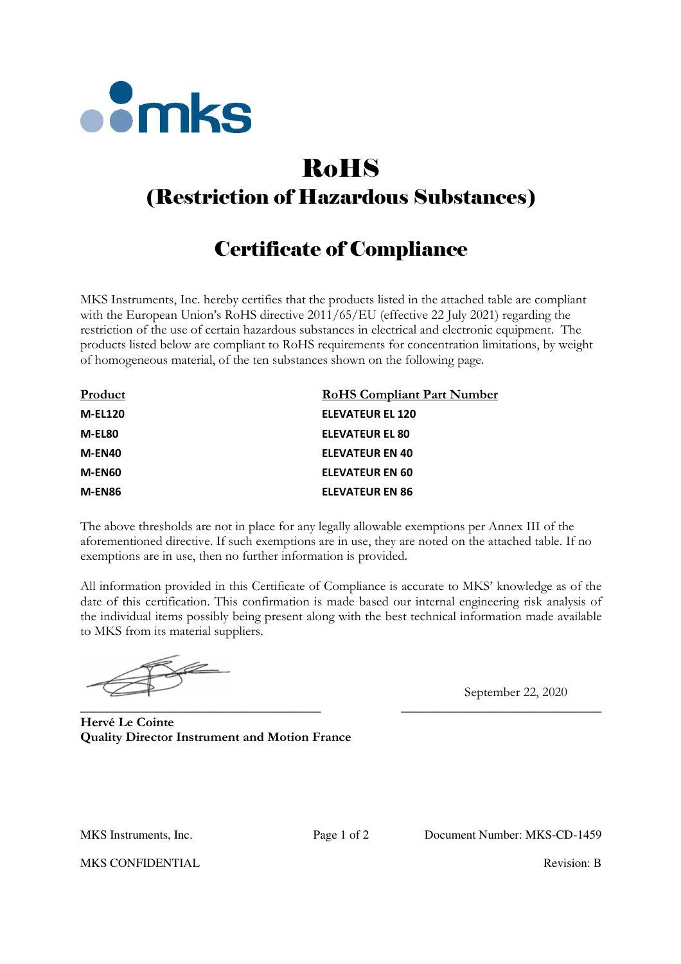

## RoHS (Restriction of Hazardous Substances)

## Certificate of Compliance

MKS Instruments, Inc. hereby certifies that the products listed in the attached table are compliant with the European Union's RoHS directive 2011/65/EU (effective 22 July 2021) regarding the restriction of the use of certain hazardous substances in electrical and electronic equipment. The products listed below are compliant to RoHS requirements for concentration limitations, by weight of homogeneous material, of the ten substances shown on the following page.

| Product        | <b>RoHS Compliant Part Number</b> |
|----------------|-----------------------------------|
| <b>M-EL120</b> | <b>ELEVATEUR EL 120</b>           |
| M-EL80         | <b>ELEVATEUR EL 80</b>            |
| M-EN40         | <b>ELEVATEUR EN 40</b>            |
| M-EN60         | <b>ELEVATEUR EN 60</b>            |
| M-EN86         | <b>ELEVATEUR EN 86</b>            |

The above thresholds are not in place for any legally allowable exemptions per Annex III of the aforementioned directive. If such exemptions are in use, they are noted on the attached table. If no exemptions are in use, then no further information is provided.

All information provided in this Certificate of Compliance is accurate to MKS' knowledge as of the date of this certification. This confirmation is made based our internal engineering risk analysis of the individual items possibly being present along with the best technical information made available to MKS from its material suppliers.

\_\_\_\_\_\_\_\_\_\_\_\_\_\_\_\_\_\_\_\_\_\_\_\_\_\_\_\_\_\_\_\_\_\_\_\_ \_\_\_\_\_\_\_\_\_\_\_\_\_\_\_\_\_\_\_\_\_\_\_\_\_\_\_\_\_\_

September 22, 2020

**Hervé Le Cointe Quality Director Instrument and Motion France**

MKS Instruments, Inc. Page 1 of 2 Document Number: MKS-CD-1459

MKS CONFIDENTIAL **Revision: B** Revision: B